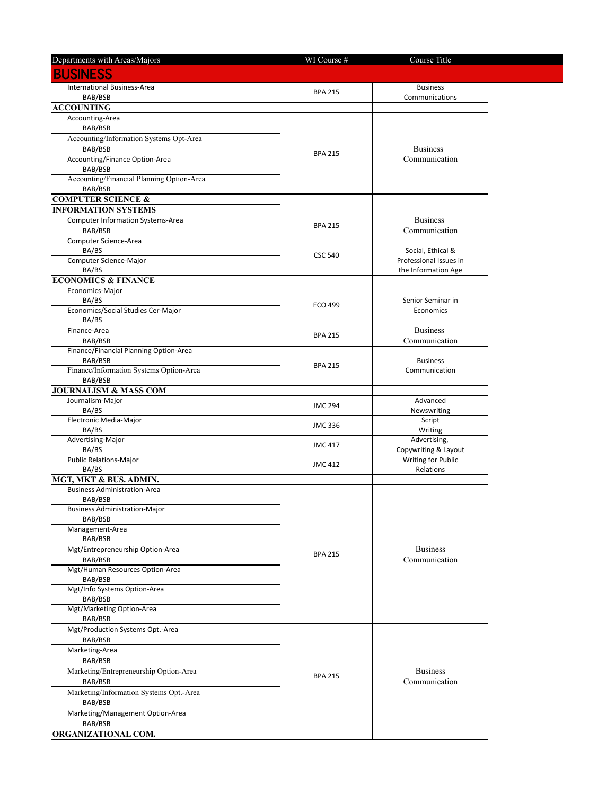| Departments with Areas/Majors               | WI Course #    | Course Title                           |  |
|---------------------------------------------|----------------|----------------------------------------|--|
| <b>BUSINESS</b>                             |                |                                        |  |
|                                             |                |                                        |  |
| International Business-Area<br>BAB/BSB      | <b>BPA 215</b> | <b>Business</b><br>Communications      |  |
| <b>ACCOUNTING</b>                           |                |                                        |  |
| Accounting-Area                             |                |                                        |  |
| BAB/BSB                                     |                |                                        |  |
| Accounting/Information Systems Opt-Area     |                |                                        |  |
| BAB/BSB                                     | <b>BPA 215</b> | <b>Business</b><br>Communication       |  |
| Accounting/Finance Option-Area              |                |                                        |  |
| BAB/BSB                                     |                |                                        |  |
| Accounting/Financial Planning Option-Area   |                |                                        |  |
| BAB/BSB<br><b>COMPUTER SCIENCE &amp;</b>    |                |                                        |  |
| <b>INFORMATION SYSTEMS</b>                  |                |                                        |  |
| Computer Information Systems-Area           |                | <b>Business</b>                        |  |
| BAB/BSB                                     | <b>BPA 215</b> | Communication                          |  |
| Computer Science-Area                       |                |                                        |  |
| BA/BS                                       | <b>CSC 540</b> | Social, Ethical &                      |  |
| Computer Science-Major                      |                | Professional Issues in                 |  |
| BA/BS                                       |                | the Information Age                    |  |
| <b>ECONOMICS &amp; FINANCE</b>              |                |                                        |  |
| Economics-Major<br>BA/BS                    |                | Senior Seminar in                      |  |
| Economics/Social Studies Cer-Major          | ECO 499        | Economics                              |  |
| BA/BS                                       |                |                                        |  |
| Finance-Area                                |                | <b>Business</b>                        |  |
| BAB/BSB                                     | <b>BPA 215</b> | Communication                          |  |
| Finance/Financial Planning Option-Area      |                |                                        |  |
| BAB/BSB                                     | <b>BPA 215</b> | <b>Business</b>                        |  |
| Finance/Information Systems Option-Area     |                | Communication                          |  |
| BAB/BSB<br>JOURNALISM & MASS COM            |                |                                        |  |
| Journalism-Major                            |                | Advanced                               |  |
| BA/BS                                       | <b>JMC 294</b> | Newswriting                            |  |
| Electronic Media-Major                      | <b>JMC 336</b> | Script                                 |  |
| BA/BS                                       |                | Writing                                |  |
| Advertising-Major                           | <b>JMC 417</b> | Advertising,                           |  |
| BA/BS                                       |                | Copywriting & Layout                   |  |
| <b>Public Relations-Major</b><br>BA/BS      | <b>JMC 412</b> | <b>Writing for Public</b><br>Relations |  |
| MGT, MKT & BUS. ADMIN.                      |                |                                        |  |
| <b>Business Administration-Area</b>         |                |                                        |  |
| BAB/BSB                                     |                |                                        |  |
| <b>Business Administration-Major</b>        |                |                                        |  |
| BAB/BSB                                     |                |                                        |  |
| Management-Area                             |                |                                        |  |
| BAB/BSB<br>Mgt/Entrepreneurship Option-Area |                | <b>Business</b>                        |  |
| BAB/BSB                                     | <b>BPA 215</b> | Communication                          |  |
| Mgt/Human Resources Option-Area             |                |                                        |  |
| BAB/BSB                                     |                |                                        |  |
| Mgt/Info Systems Option-Area                |                |                                        |  |
| BAB/BSB                                     |                |                                        |  |
| Mgt/Marketing Option-Area                   |                |                                        |  |
| BAB/BSB                                     |                |                                        |  |
| Mgt/Production Systems Opt.-Area            |                |                                        |  |
| BAB/BSB<br>Marketing-Area                   |                |                                        |  |
| BAB/BSB                                     |                |                                        |  |
| Marketing/Entrepreneurship Option-Area      |                | <b>Business</b>                        |  |
| BAB/BSB                                     | <b>BPA 215</b> | Communication                          |  |
| Marketing/Information Systems Opt.-Area     |                |                                        |  |
| BAB/BSB                                     |                |                                        |  |
| Marketing/Management Option-Area            |                |                                        |  |
| BAB/BSB                                     |                |                                        |  |
| ORGANIZATIONAL COM.                         |                |                                        |  |

٠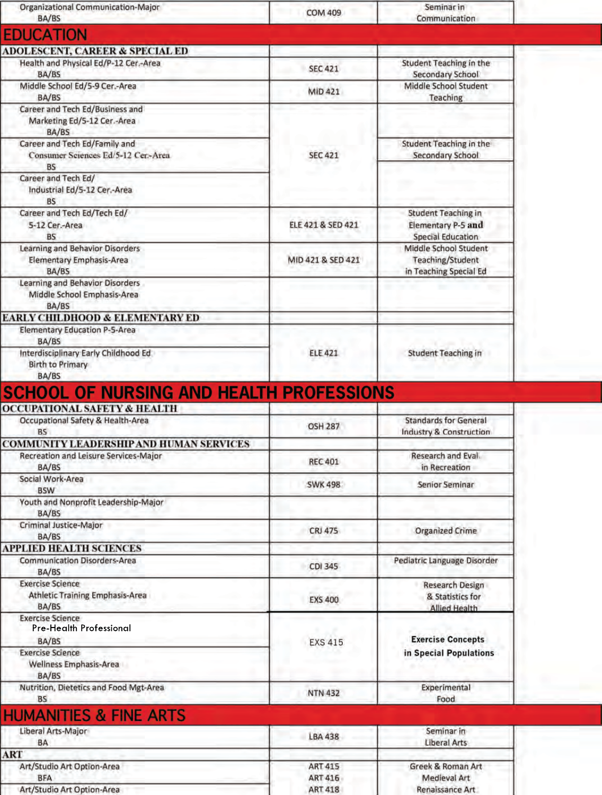| Organizational Communication-Major<br>BA/BS                                                  | <b>COM 409</b>                   | Seminar in<br>Communication                                                  |  |
|----------------------------------------------------------------------------------------------|----------------------------------|------------------------------------------------------------------------------|--|
| <b>EDUCATION</b>                                                                             |                                  |                                                                              |  |
|                                                                                              |                                  |                                                                              |  |
| <b>ADOLESCENT, CAREER &amp; SPECIAL ED</b><br>Health and Physical Ed/P-12 Cer.-Area<br>BA/BS | <b>SEC 421</b>                   | Student Teaching in the<br>Secondary School                                  |  |
| Middle School Ed/5-9 Cer.-Area<br>BA/BS                                                      | MID 421                          | Middle School Student<br>Teaching                                            |  |
| Career and Tech Ed/Business and<br>Marketing Ed/5-12 Cer.-Area<br>BA/BS                      |                                  |                                                                              |  |
| Career and Tech Ed/Family and<br>Consumer Sciences Ed/5-12 Cer.-Area<br><b>BS</b>            | <b>SEC 421</b>                   | Student Teaching in the<br><b>Secondary School</b>                           |  |
| Career and Tech Ed/<br>Industrial Ed/5-12 Cer.-Area<br><b>BS</b>                             |                                  |                                                                              |  |
| Career and Tech Ed/Tech Ed/<br>5-12 Cer.-Area<br>BS                                          | ELE 421 & SED 421                | <b>Student Teaching in</b><br><b>Elementary P-5 and</b><br>Special Education |  |
| <b>Learning and Behavior Disorders</b><br><b>Elementary Emphasis-Area</b><br>BA/BS           | MID 421 & SED 421                | Middle School Student<br><b>Teaching/Student</b><br>in Teaching Special Ed   |  |
| Learning and Behavior Disorders<br>Middle School Emphasis-Area<br>BA/BS                      |                                  |                                                                              |  |
| <b>EARLY CHILDHOOD &amp; ELEMENTARY ED</b>                                                   |                                  |                                                                              |  |
| <b>Elementary Education P-5-Area</b><br>BA/BS                                                | <b>ELE 421</b>                   |                                                                              |  |
| Interdisciplinary Early Childhood Ed<br><b>Birth to Primary</b><br>BA/BS                     |                                  | Student Teaching in                                                          |  |
| SCHOOL OF NURSING AND HEALTH PROFESSIONS                                                     |                                  |                                                                              |  |
| <b>OCCUPATIONAL SAFETY &amp; HEALTH</b>                                                      |                                  |                                                                              |  |
| Occupational Safety & Health-Area<br><b>BS</b>                                               | <b>OSH 287</b>                   | <b>Standards for General</b><br>Industry & Construction                      |  |
| <b>COMMUNITY LEADERSHIP AND HUMAN SERVICES</b>                                               |                                  |                                                                              |  |
| Recreation and Leisure Services-Major<br>BA/BS                                               | <b>REC 401</b>                   | Research and Eval.<br>in Recreation                                          |  |
| Social Work-Area<br><b>BSW</b>                                                               | <b>SWK 498</b>                   | <b>Senior Seminar</b>                                                        |  |
| Youth and Nonprofit Leadership-Major<br>BA/BS                                                |                                  |                                                                              |  |
| Criminal Justice-Major<br>BA/BS                                                              | <b>CRJ 475</b>                   | <b>Organized Crime</b>                                                       |  |
| <b>APPLIED HEALTH SCIENCES</b><br><b>Communication Disorders-Area</b>                        |                                  | Pediatric Language Disorder                                                  |  |
| BA/BS                                                                                        | CDI 345                          |                                                                              |  |
| <b>Exercise Science</b><br><b>Athletic Training Emphasis-Area</b><br>BA/BS                   | <b>EXS 400</b>                   | <b>Research Design</b><br>& Statistics for<br><b>Allied Health</b>           |  |
| <b>Exercise Science</b><br>Pre-Health Professional<br>BA/BS                                  |                                  | <b>Exercise Concepts</b>                                                     |  |
| <b>Exercise Science</b><br>Wellness Emphasis-Area<br>BA/BS                                   | <b>EXS 415</b>                   | in Special Populations                                                       |  |
| Nutrition, Dietetics and Food Mgt-Area<br><b>BS</b>                                          | <b>NTN 432</b>                   | Experimental<br>Food                                                         |  |
| <b>HUMANITIES &amp; FINE ARTS</b>                                                            |                                  |                                                                              |  |
| Liberal Arts-Major<br>BA                                                                     | <b>LBA 438</b>                   | Seminar in<br><b>Liberal Arts</b>                                            |  |
| ART                                                                                          |                                  |                                                                              |  |
| Art/Studio Art Option-Area<br><b>BFA</b>                                                     | <b>ART 415</b><br><b>ART 416</b> | Greek & Roman Art<br><b>Medieval Art</b>                                     |  |
| Art/Studio Art Option-Area                                                                   | <b>ART 418</b>                   | Renaissance Art                                                              |  |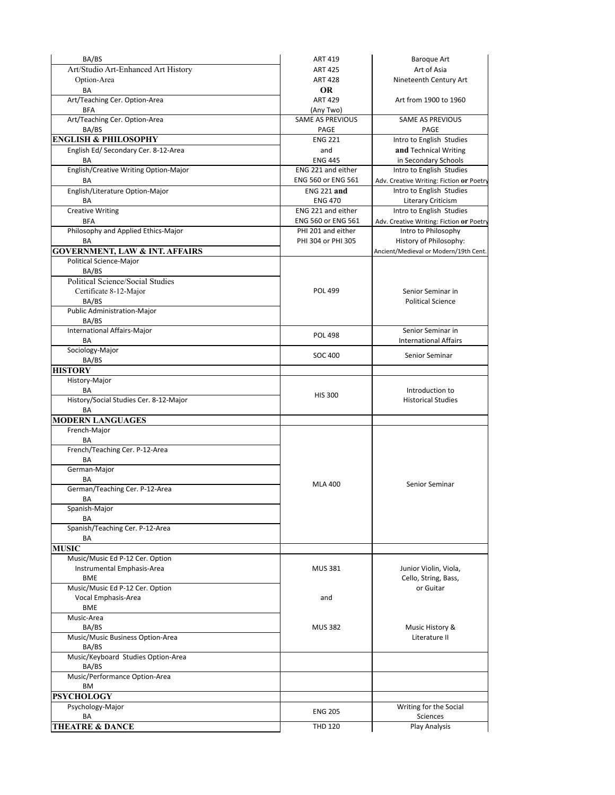| BA/BS                                                  | <b>ART 419</b>                           | <b>Baroque Art</b>                               |
|--------------------------------------------------------|------------------------------------------|--------------------------------------------------|
| Art/Studio Art-Enhanced Art History                    | <b>ART 425</b>                           | Art of Asia                                      |
| Option-Area                                            | <b>ART 428</b>                           | Nineteenth Century Art                           |
| BA                                                     | <b>OR</b>                                |                                                  |
| Art/Teaching Cer. Option-Area<br><b>BFA</b>            | <b>ART 429</b><br>(Any Two)              | Art from 1900 to 1960                            |
| Art/Teaching Cer. Option-Area                          | <b>SAME AS PREVIOUS</b>                  | <b>SAME AS PREVIOUS</b>                          |
| BA/BS                                                  | PAGE                                     | PAGE                                             |
| <b>ENGLISH &amp; PHILOSOPHY</b>                        | <b>ENG 221</b>                           | Intro to English Studies                         |
| English Ed/ Secondary Cer. 8-12-Area                   | and                                      | and Technical Writing                            |
| ΒA<br>English/Creative Writing Option-Major            | <b>ENG 445</b><br>ENG 221 and either     | in Secondary Schools<br>Intro to English Studies |
| BA                                                     | <b>ENG 560 or ENG 561</b>                | Adv. Creative Writing: Fiction or Poetry         |
| English/Literature Option-Major                        | <b>ENG 221 and</b>                       | Intro to English Studies                         |
| BA                                                     | <b>ENG 470</b>                           | <b>Literary Criticism</b>                        |
| <b>Creative Writing</b>                                | ENG 221 and either                       | Intro to English Studies                         |
| <b>BFA</b>                                             | ENG 560 or ENG 561                       | Adv. Creative Writing: Fiction or Poetry         |
| Philosophy and Applied Ethics-Major<br>BA              | PHI 201 and either<br>PHI 304 or PHI 305 | Intro to Philosophy<br>History of Philosophy:    |
| <b>GOVERNMENT, LAW &amp; INT. AFFAIRS</b>              |                                          | Ancient/Medieval or Modern/19th Cent.            |
| <b>Political Science-Major</b>                         |                                          |                                                  |
| BA/BS                                                  |                                          |                                                  |
| <b>Political Science/Social Studies</b>                |                                          |                                                  |
| Certificate 8-12-Major                                 | <b>POL 499</b>                           | Senior Seminar in                                |
| BA/BS                                                  |                                          | <b>Political Science</b>                         |
| <b>Public Administration-Major</b>                     |                                          |                                                  |
| BA/BS<br><b>International Affairs-Major</b>            |                                          | Senior Seminar in                                |
| BA                                                     | <b>POL 498</b>                           | <b>International Affairs</b>                     |
| Sociology-Major                                        |                                          |                                                  |
| BA/BS                                                  | SOC 400                                  | Senior Seminar                                   |
| <b>HISTORY</b>                                         |                                          |                                                  |
| History-Major                                          |                                          |                                                  |
| BA                                                     | <b>HIS 300</b>                           | Introduction to                                  |
| History/Social Studies Cer. 8-12-Major                 |                                          | <b>Historical Studies</b>                        |
| BA<br><b>MODERN LANGUAGES</b>                          |                                          |                                                  |
| French-Major                                           |                                          |                                                  |
| BA                                                     |                                          |                                                  |
| French/Teaching Cer. P-12-Area                         |                                          |                                                  |
| BA                                                     |                                          |                                                  |
| German-Major                                           |                                          |                                                  |
| BA                                                     | <b>MLA 400</b>                           | Senior Seminar                                   |
| German/Teaching Cer. P-12-Area<br>BA                   |                                          |                                                  |
| Spanish-Major                                          |                                          |                                                  |
| BA                                                     |                                          |                                                  |
| Spanish/Teaching Cer. P-12-Area                        |                                          |                                                  |
| BA                                                     |                                          |                                                  |
| <b>MUSIC</b>                                           |                                          |                                                  |
| Music/Music Ed P-12 Cer. Option                        |                                          |                                                  |
| Instrumental Emphasis-Area                             | <b>MUS 381</b>                           | Junior Violin, Viola,                            |
| <b>BME</b>                                             |                                          | Cello, String, Bass,                             |
| Music/Music Ed P-12 Cer. Option<br>Vocal Emphasis-Area | and                                      | or Guitar                                        |
| <b>BME</b>                                             |                                          |                                                  |
| Music-Area                                             |                                          |                                                  |
| BA/BS                                                  | <b>MUS 382</b>                           | Music History &                                  |
| Music/Music Business Option-Area                       |                                          | Literature II                                    |
| BA/BS                                                  |                                          |                                                  |
| Music/Keyboard Studies Option-Area<br>BA/BS            |                                          |                                                  |
| Music/Performance Option-Area                          |                                          |                                                  |
| <b>BM</b>                                              |                                          |                                                  |
| <b>PSYCHOLOGY</b>                                      |                                          |                                                  |
| Psychology-Major                                       | <b>ENG 205</b>                           | Writing for the Social                           |
| BA                                                     |                                          | Sciences                                         |
| <b>THEATRE &amp; DANCE</b>                             | <b>THD 120</b>                           | Play Analysis                                    |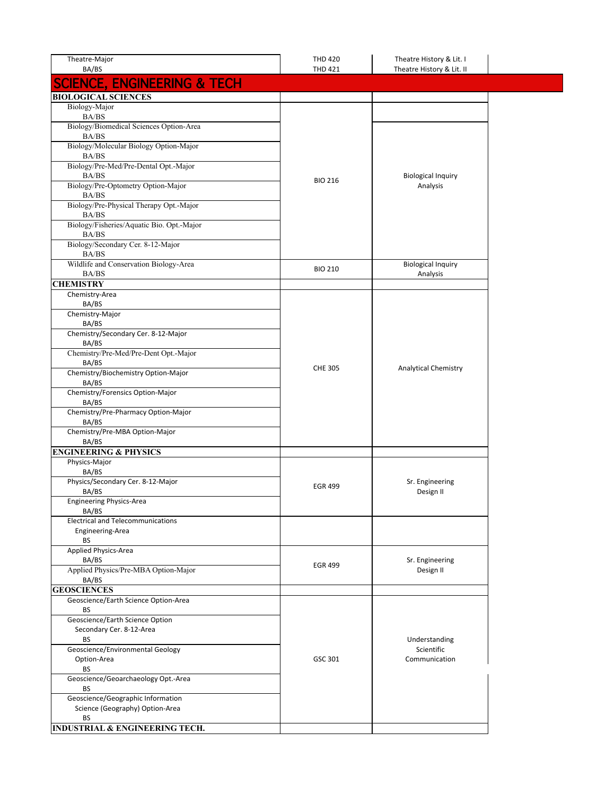| Theatre-Major<br>BA/BS                                       | <b>THD 420</b><br><b>THD 421</b> | Theatre History & Lit. I<br>Theatre History & Lit. II |  |
|--------------------------------------------------------------|----------------------------------|-------------------------------------------------------|--|
| <b>SCIENCE, ENGINEERING &amp; TECH</b>                       |                                  |                                                       |  |
| <b>BIOLOGICAL SCIENCES</b>                                   |                                  |                                                       |  |
| Biology-Major                                                |                                  |                                                       |  |
| BA/BS                                                        |                                  |                                                       |  |
| Biology/Biomedical Sciences Option-Area                      |                                  |                                                       |  |
| BA/BS                                                        |                                  |                                                       |  |
| Biology/Molecular Biology Option-Major                       |                                  |                                                       |  |
| BA/BS                                                        |                                  |                                                       |  |
| Biology/Pre-Med/Pre-Dental Opt.-Major<br>BA/BS               |                                  | <b>Biological Inquiry</b>                             |  |
| Biology/Pre-Optometry Option-Major                           | <b>BIO 216</b>                   | Analysis                                              |  |
| BA/BS                                                        |                                  |                                                       |  |
| Biology/Pre-Physical Therapy Opt.-Major                      |                                  |                                                       |  |
| BA/BS                                                        |                                  |                                                       |  |
| Biology/Fisheries/Aquatic Bio. Opt.-Major                    |                                  |                                                       |  |
| BA/BS<br>Biology/Secondary Cer. 8-12-Major                   |                                  |                                                       |  |
| BA/BS                                                        |                                  |                                                       |  |
| Wildlife and Conservation Biology-Area                       |                                  | <b>Biological Inquiry</b>                             |  |
| BA/BS                                                        | <b>BIO 210</b>                   | Analysis                                              |  |
| <b>CHEMISTRY</b>                                             |                                  |                                                       |  |
| Chemistry-Area                                               |                                  |                                                       |  |
| BA/BS<br>Chemistry-Major                                     |                                  |                                                       |  |
| BA/BS                                                        |                                  |                                                       |  |
| Chemistry/Secondary Cer. 8-12-Major                          |                                  |                                                       |  |
| BA/BS                                                        |                                  |                                                       |  |
| Chemistry/Pre-Med/Pre-Dent Opt.-Major                        |                                  |                                                       |  |
| BA/BS                                                        | <b>CHE 305</b>                   | <b>Analytical Chemistry</b>                           |  |
| Chemistry/Biochemistry Option-Major                          |                                  |                                                       |  |
| BA/BS<br>Chemistry/Forensics Option-Major                    |                                  |                                                       |  |
| BA/BS                                                        |                                  |                                                       |  |
| Chemistry/Pre-Pharmacy Option-Major                          |                                  |                                                       |  |
| BA/BS                                                        |                                  |                                                       |  |
| Chemistry/Pre-MBA Option-Major                               |                                  |                                                       |  |
| BA/BS<br><b>ENGINEERING &amp; PHYSICS</b>                    |                                  |                                                       |  |
| Physics-Major                                                |                                  |                                                       |  |
| BA/BS                                                        |                                  |                                                       |  |
| Physics/Secondary Cer. 8-12-Major                            |                                  | Sr. Engineering                                       |  |
| BA/BS                                                        | <b>EGR 499</b>                   | Design II                                             |  |
| Engineering Physics-Area                                     |                                  |                                                       |  |
| BA/BS                                                        |                                  |                                                       |  |
| <b>Electrical and Telecommunications</b><br>Engineering-Area |                                  |                                                       |  |
| BS                                                           |                                  |                                                       |  |
| Applied Physics-Area                                         |                                  |                                                       |  |
| BA/BS                                                        | <b>EGR 499</b>                   | Sr. Engineering                                       |  |
| Applied Physics/Pre-MBA Option-Major                         |                                  | Design II                                             |  |
| BA/BS                                                        |                                  |                                                       |  |
| <b>GEOSCIENCES</b>                                           |                                  |                                                       |  |
| Geoscience/Earth Science Option-Area<br>BS                   |                                  |                                                       |  |
| Geoscience/Earth Science Option                              |                                  |                                                       |  |
| Secondary Cer. 8-12-Area                                     |                                  |                                                       |  |
| BS                                                           |                                  | Understanding                                         |  |
| Geoscience/Environmental Geology                             |                                  | Scientific                                            |  |
| Option-Area                                                  | GSC 301                          | Communication                                         |  |
| ВS                                                           |                                  |                                                       |  |
| Geoscience/Geoarchaeology Opt.-Area<br><b>BS</b>             |                                  |                                                       |  |
| Geoscience/Geographic Information                            |                                  |                                                       |  |
| Science (Geography) Option-Area                              |                                  |                                                       |  |
| ВS                                                           |                                  |                                                       |  |
| <b>INDUSTRIAL &amp; ENGINEERING TECH.</b>                    |                                  |                                                       |  |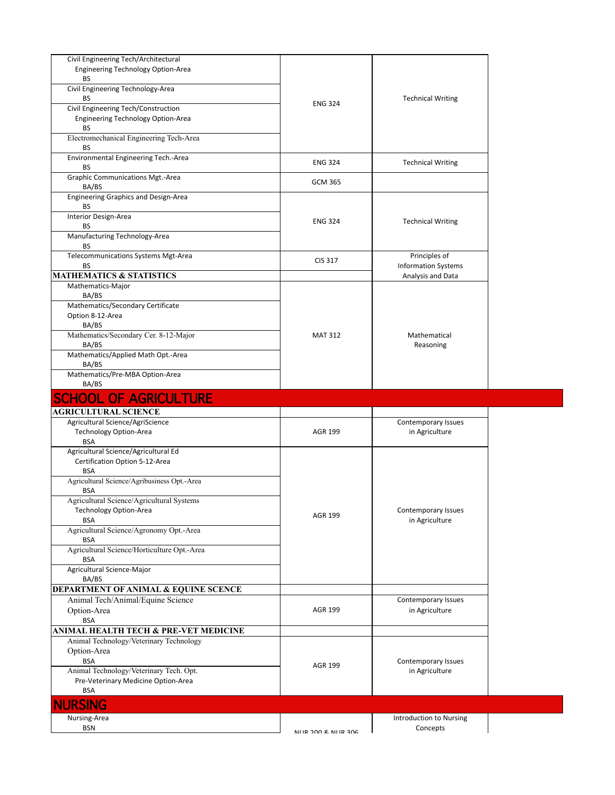| Civil Engineering Tech/Architectural                                   |                        |                                            |
|------------------------------------------------------------------------|------------------------|--------------------------------------------|
| <b>Engineering Technology Option-Area</b><br>BS                        |                        |                                            |
| Civil Engineering Technology-Area                                      |                        | <b>Technical Writing</b><br><b>ENG 324</b> |
| BS                                                                     |                        |                                            |
| Civil Engineering Tech/Construction                                    |                        |                                            |
| <b>Engineering Technology Option-Area</b><br><b>BS</b>                 |                        |                                            |
| Electromechanical Engineering Tech-Area                                |                        |                                            |
| BS                                                                     |                        |                                            |
| Environmental Engineering Tech.-Area                                   | <b>ENG 324</b>         | <b>Technical Writing</b>                   |
| BS                                                                     |                        |                                            |
| Graphic Communications Mgt.-Area<br>BA/BS                              | <b>GCM 365</b>         |                                            |
| Engineering Graphics and Design-Area                                   |                        |                                            |
| BS                                                                     |                        |                                            |
| Interior Design-Area                                                   | <b>ENG 324</b>         | <b>Technical Writing</b>                   |
| BS                                                                     |                        |                                            |
| Manufacturing Technology-Area<br>BS                                    |                        |                                            |
| Telecommunications Systems Mgt-Area                                    |                        | Principles of                              |
| BS                                                                     | CIS 317                | <b>Information Systems</b>                 |
| <b>MATHEMATICS &amp; STATISTICS</b>                                    |                        | Analysis and Data                          |
| Mathematics-Major<br>BA/BS                                             |                        |                                            |
| Mathematics/Secondary Certificate                                      |                        |                                            |
| Option 8-12-Area                                                       |                        |                                            |
| BA/BS                                                                  |                        |                                            |
| Mathematics/Secondary Cer. 8-12-Major                                  | <b>MAT 312</b>         | Mathematical                               |
| BA/BS<br>Mathematics/Applied Math Opt.-Area                            |                        | Reasoning                                  |
| BA/BS                                                                  |                        |                                            |
| Mathematics/Pre-MBA Option-Area                                        |                        |                                            |
|                                                                        |                        |                                            |
| BA/BS                                                                  |                        |                                            |
| <b>SCHOOL OF AGRICULTURE</b>                                           |                        |                                            |
| <b>AGRICULTURAL SCIENCE</b>                                            |                        |                                            |
| Agricultural Science/AgriScience                                       |                        | <b>Contemporary Issues</b>                 |
| <b>Technology Option-Area</b>                                          | <b>AGR 199</b>         | in Agriculture                             |
| <b>BSA</b>                                                             |                        |                                            |
| Agricultural Science/Agricultural Ed<br>Certification Option 5-12-Area |                        |                                            |
| <b>BSA</b>                                                             |                        |                                            |
| Agricultural Science/Agribusiness Opt.-Area                            |                        |                                            |
| <b>BSA</b>                                                             |                        |                                            |
| Agricultural Science/Agricultural Systems                              |                        | Contemporary Issues                        |
| Technology Option-Area<br><b>BSA</b>                                   | <b>AGR 199</b>         | in Agriculture                             |
| Agricultural Science/Agronomy Opt.-Area                                |                        |                                            |
| <b>BSA</b>                                                             |                        |                                            |
| Agricultural Science/Horticulture Opt.-Area<br>BSA                     |                        |                                            |
| Agricultural Science-Major                                             |                        |                                            |
| BA/BS                                                                  |                        |                                            |
| <b>DEPARTMENT OF ANIMAL &amp; EQUINE SCENCE</b>                        |                        |                                            |
| Animal Tech/Animal/Equine Science                                      |                        | Contemporary Issues                        |
| Option-Area                                                            | <b>AGR 199</b>         | in Agriculture                             |
| <b>BSA</b><br>ANIMAL HEALTH TECH & PRE-VET MEDICINE                    |                        |                                            |
| Animal Technology/Veterinary Technology                                |                        |                                            |
| Option-Area                                                            |                        |                                            |
| <b>BSA</b>                                                             | AGR 199                | Contemporary Issues                        |
| Animal Technology/Veterinary Tech. Opt.                                |                        | in Agriculture                             |
| Pre-Veterinary Medicine Option-Area<br><b>BSA</b>                      |                        |                                            |
|                                                                        |                        |                                            |
| <b>NURSING</b>                                                         |                        |                                            |
| Nursing-Area<br><b>BSN</b>                                             | AILID 200 2. AILID 206 | Introduction to Nursing<br>Concepts        |